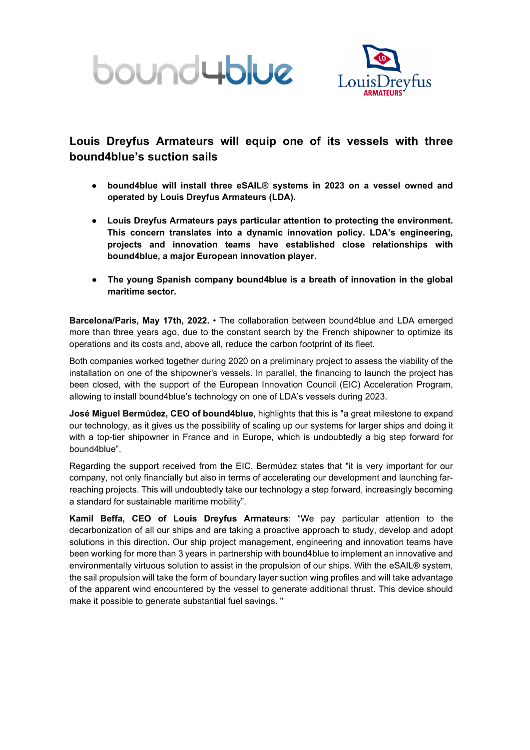



# **Louis Dreyfus Armateurs will equip one of its vessels with three bound4blue's suction sails**

- **bound4blue will install three eSAIL® systems in 2023 on a vessel owned and operated by Louis Dreyfus Armateurs (LDA).**
- **Louis Dreyfus Armateurs pays particular attention to protecting the environment. This concern translates into a dynamic innovation policy. LDA's engineering, projects and innovation teams have established close relationships with bound4blue, a major European innovation player.**
- **The young Spanish company bound4blue is a breath of innovation in the global maritime sector.**

**Barcelona/Paris, May 17th, 2022.** • The collaboration between bound4blue and LDA emerged more than three years ago, due to the constant search by the French shipowner to optimize its operations and its costs and, above all, reduce the carbon footprint of its fleet.

Both companies worked together during 2020 on a preliminary project to assess the viability of the installation on one of the shipowner's vessels. In parallel, the financing to launch the project has been closed, with the support of the European Innovation Council (EIC) Acceleration Program, allowing to install bound4blue's technology on one of LDA's vessels during 2023.

**José Miguel Bermúdez, CEO of bound4blue**, highlights that this is "a great milestone to expand our technology, as it gives us the possibility of scaling up our systems for larger ships and doing it with a top-tier shipowner in France and in Europe, which is undoubtedly a big step forward for bound4blue".

Regarding the support received from the EIC, Bermúdez states that "it is very important for our company, not only financially but also in terms of accelerating our development and launching farreaching projects. This will undoubtedly take our technology a step forward, increasingly becoming a standard for sustainable maritime mobility".

**Kamil Beffa, CEO of Louis Dreyfus Armateurs**: "We pay particular attention to the decarbonization of all our ships and are taking a proactive approach to study, develop and adopt solutions in this direction. Our ship project management, engineering and innovation teams have been working for more than 3 years in partnership with bound4blue to implement an innovative and environmentally virtuous solution to assist in the propulsion of our ships. With the eSAIL® system, the sail propulsion will take the form of boundary layer suction wing profiles and will take advantage of the apparent wind encountered by the vessel to generate additional thrust. This device should make it possible to generate substantial fuel savings. "